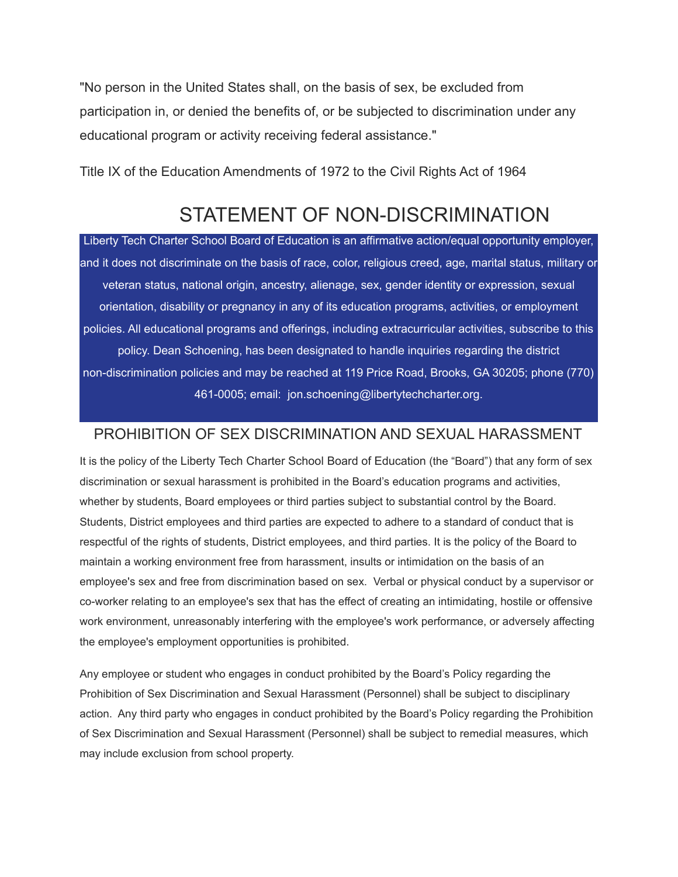"No person in the United States shall, on the basis of sex, be excluded from participation in, or denied the benefits of, or be subjected to discrimination under any educational program or activity receiving federal assistance."

Title IX of the Education Amendments of 1972 to the Civil Rights Act of 1964

## STATEMENT OF NON-DISCRIMINATION

Liberty Tech Charter School Board of Education is an affirmative action/equal opportunity employer, and it does not discriminate on the basis of race, color, religious creed, age, marital status, military or veteran status, national origin, ancestry, alienage, sex, gender identity or expression, sexual orientation, disability or pregnancy in any of its education programs, activities, or employment policies. All educational programs and offerings, including extracurricular activities, subscribe to this policy. Dean Schoening, has been designated to handle inquiries regarding the district non-discrimination policies and may be reached at 119 Price Road, Brooks, GA 30205; phone (770) 461-0005; email: jon.schoening@libertytechcharter.org.

## PROHIBITION OF SEX DISCRIMINATION AND SEXUAL HARASSMENT

It is the policy of the Liberty Tech Charter School Board of Education (the "Board") that any form of sex discrimination or sexual harassment is prohibited in the Board's education programs and activities, whether by students, Board employees or third parties subject to substantial control by the Board. Students, District employees and third parties are expected to adhere to a standard of conduct that is respectful of the rights of students, District employees, and third parties. It is the policy of the Board to maintain a working environment free from harassment, insults or intimidation on the basis of an employee's sex and free from discrimination based on sex. Verbal or physical conduct by a supervisor or co-worker relating to an employee's sex that has the effect of creating an intimidating, hostile or offensive work environment, unreasonably interfering with the employee's work performance, or adversely affecting the employee's employment opportunities is prohibited.

Any employee or student who engages in conduct prohibited by the Board's Policy regarding the Prohibition of Sex Discrimination and Sexual Harassment (Personnel) shall be subject to disciplinary action. Any third party who engages in conduct prohibited by the Board's Policy regarding the Prohibition of Sex Discrimination and Sexual Harassment (Personnel) shall be subject to remedial measures, which may include exclusion from school property.